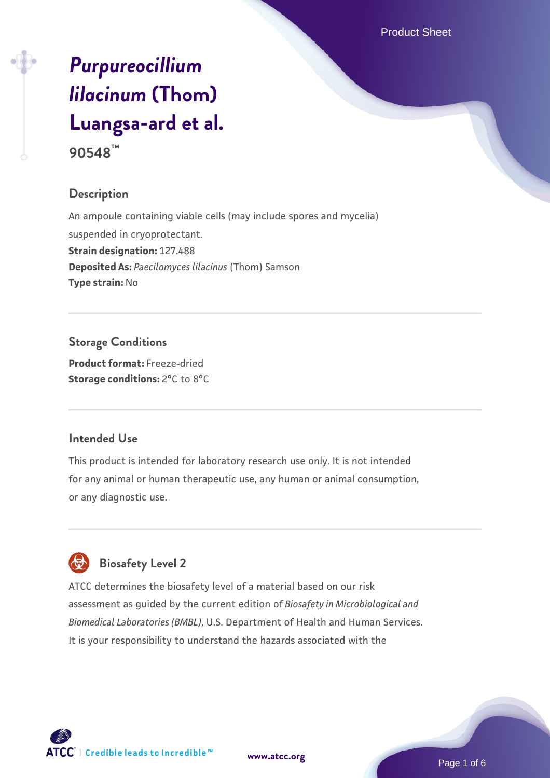Product Sheet

# *[Purpureocillium](https://www.atcc.org/products/90548) [lilacinum](https://www.atcc.org/products/90548)* **[\(Thom\)](https://www.atcc.org/products/90548) [Luangsa-ard et al.](https://www.atcc.org/products/90548)**

**90548™**

# **Description**

An ampoule containing viable cells (may include spores and mycelia) suspended in cryoprotectant. **Strain designation:** 127.488 **Deposited As:** *Paecilomyces lilacinus* (Thom) Samson **Type strain:** No

**Storage Conditions Product format:** Freeze-dried **Storage conditions:** 2°C to 8°C

#### **Intended Use**

This product is intended for laboratory research use only. It is not intended for any animal or human therapeutic use, any human or animal consumption, or any diagnostic use.

# **Biosafety Level 2**

ATCC determines the biosafety level of a material based on our risk assessment as guided by the current edition of *Biosafety in Microbiological and Biomedical Laboratories (BMBL)*, U.S. Department of Health and Human Services. It is your responsibility to understand the hazards associated with the



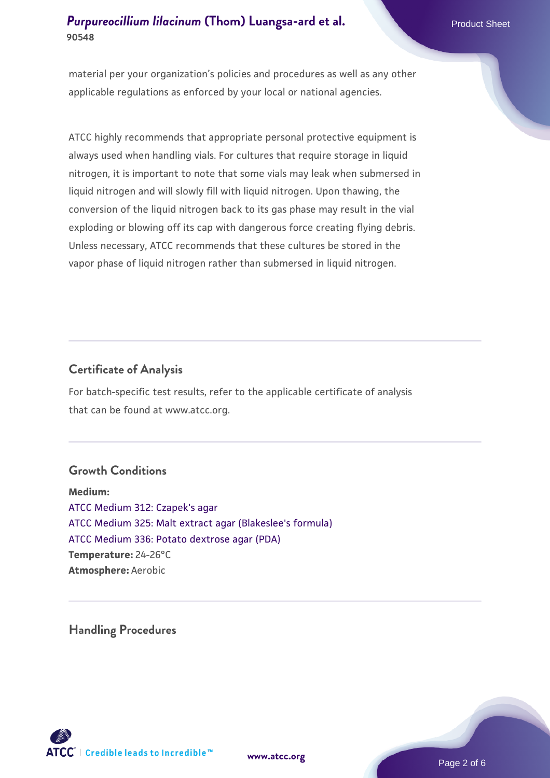material per your organization's policies and procedures as well as any other applicable regulations as enforced by your local or national agencies.

ATCC highly recommends that appropriate personal protective equipment is always used when handling vials. For cultures that require storage in liquid nitrogen, it is important to note that some vials may leak when submersed in liquid nitrogen and will slowly fill with liquid nitrogen. Upon thawing, the conversion of the liquid nitrogen back to its gas phase may result in the vial exploding or blowing off its cap with dangerous force creating flying debris. Unless necessary, ATCC recommends that these cultures be stored in the vapor phase of liquid nitrogen rather than submersed in liquid nitrogen.

# **Certificate of Analysis**

For batch-specific test results, refer to the applicable certificate of analysis that can be found at www.atcc.org.

#### **Growth Conditions**

**Medium:**  [ATCC Medium 312: Czapek's agar](https://www.atcc.org/-/media/product-assets/documents/microbial-media-formulations/3/1/2/atcc-medium-312.pdf?rev=4992717cc7f64a9dadaeb35a339cb643) [ATCC Medium 325: Malt extract agar \(Blakeslee's formula\)](https://www.atcc.org/-/media/product-assets/documents/microbial-media-formulations/3/2/5/atcc-medium-325.pdf?rev=146ec77015184a96912232dcb12386f9) [ATCC Medium 336: Potato dextrose agar \(PDA\)](https://www.atcc.org/-/media/product-assets/documents/microbial-media-formulations/3/3/6/atcc-medium-336.pdf?rev=d9160ad44d934cd8b65175461abbf3b9) **Temperature:** 24-26°C **Atmosphere:** Aerobic

**Handling Procedures**





Page 2 of 6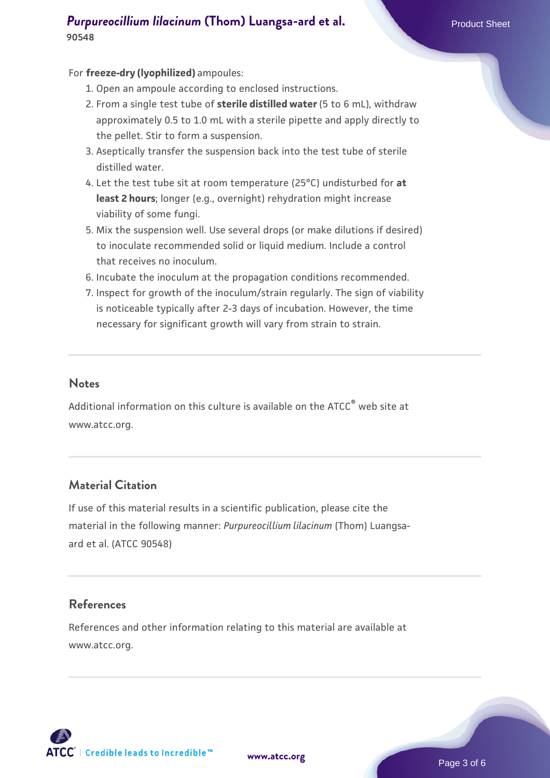#### For **freeze-dry (lyophilized)** ampoules:

- 1. Open an ampoule according to enclosed instructions.
- 2. From a single test tube of **sterile distilled water** (5 to 6 mL), withdraw approximately 0.5 to 1.0 mL with a sterile pipette and apply directly to the pellet. Stir to form a suspension.
- 3. Aseptically transfer the suspension back into the test tube of sterile distilled water.
- Let the test tube sit at room temperature (25°C) undisturbed for **at** 4. **least 2 hours**; longer (e.g., overnight) rehydration might increase viability of some fungi.
- Mix the suspension well. Use several drops (or make dilutions if desired) 5. to inoculate recommended solid or liquid medium. Include a control that receives no inoculum.
- 6. Incubate the inoculum at the propagation conditions recommended.
- 7. Inspect for growth of the inoculum/strain regularly. The sign of viability is noticeable typically after 2-3 days of incubation. However, the time necessary for significant growth will vary from strain to strain.

#### **Notes**

Additional information on this culture is available on the ATCC<sup>®</sup> web site at www.atcc.org.

#### **Material Citation**

If use of this material results in a scientific publication, please cite the material in the following manner: *Purpureocillium lilacinum* (Thom) Luangsaard et al. (ATCC 90548)

#### **References**

References and other information relating to this material are available at www.atcc.org.

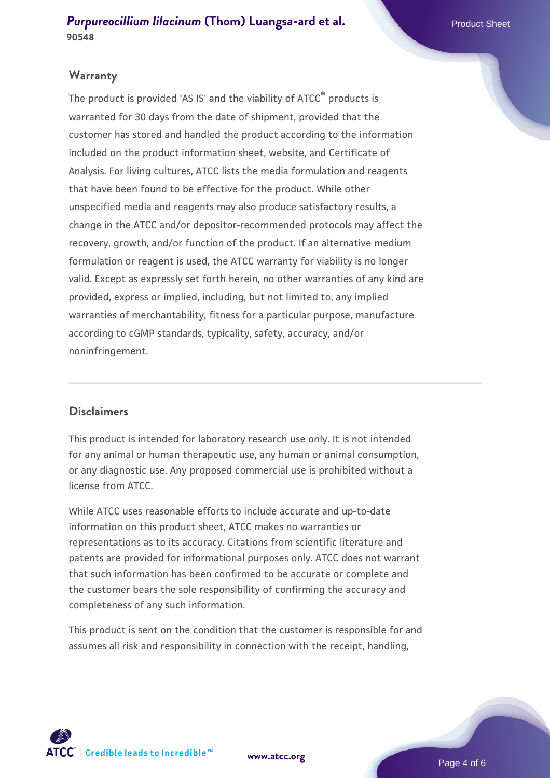#### **Warranty**

The product is provided 'AS IS' and the viability of ATCC<sup>®</sup> products is warranted for 30 days from the date of shipment, provided that the customer has stored and handled the product according to the information included on the product information sheet, website, and Certificate of Analysis. For living cultures, ATCC lists the media formulation and reagents that have been found to be effective for the product. While other unspecified media and reagents may also produce satisfactory results, a change in the ATCC and/or depositor-recommended protocols may affect the recovery, growth, and/or function of the product. If an alternative medium formulation or reagent is used, the ATCC warranty for viability is no longer valid. Except as expressly set forth herein, no other warranties of any kind are provided, express or implied, including, but not limited to, any implied warranties of merchantability, fitness for a particular purpose, manufacture according to cGMP standards, typicality, safety, accuracy, and/or noninfringement.

#### **Disclaimers**

This product is intended for laboratory research use only. It is not intended for any animal or human therapeutic use, any human or animal consumption, or any diagnostic use. Any proposed commercial use is prohibited without a license from ATCC.

While ATCC uses reasonable efforts to include accurate and up-to-date information on this product sheet, ATCC makes no warranties or representations as to its accuracy. Citations from scientific literature and patents are provided for informational purposes only. ATCC does not warrant that such information has been confirmed to be accurate or complete and the customer bears the sole responsibility of confirming the accuracy and completeness of any such information.

This product is sent on the condition that the customer is responsible for and assumes all risk and responsibility in connection with the receipt, handling,



**[www.atcc.org](http://www.atcc.org)**

Page 4 of 6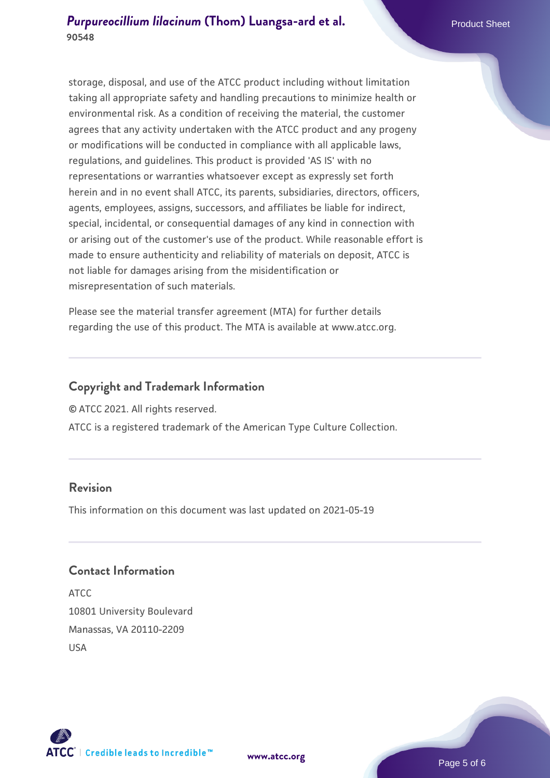storage, disposal, and use of the ATCC product including without limitation taking all appropriate safety and handling precautions to minimize health or environmental risk. As a condition of receiving the material, the customer agrees that any activity undertaken with the ATCC product and any progeny or modifications will be conducted in compliance with all applicable laws, regulations, and guidelines. This product is provided 'AS IS' with no representations or warranties whatsoever except as expressly set forth herein and in no event shall ATCC, its parents, subsidiaries, directors, officers, agents, employees, assigns, successors, and affiliates be liable for indirect, special, incidental, or consequential damages of any kind in connection with or arising out of the customer's use of the product. While reasonable effort is made to ensure authenticity and reliability of materials on deposit, ATCC is not liable for damages arising from the misidentification or misrepresentation of such materials.

Please see the material transfer agreement (MTA) for further details regarding the use of this product. The MTA is available at www.atcc.org.

# **Copyright and Trademark Information**

© ATCC 2021. All rights reserved.

ATCC is a registered trademark of the American Type Culture Collection.

#### **Revision**

This information on this document was last updated on 2021-05-19

# **Contact Information**

ATCC 10801 University Boulevard Manassas, VA 20110-2209 USA